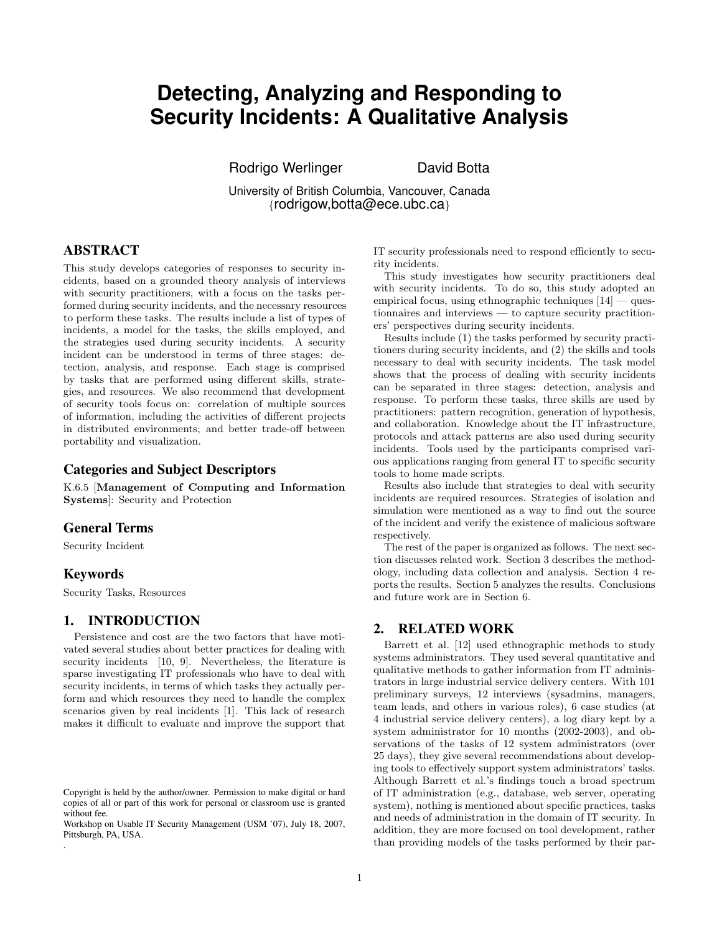# **Detecting, Analyzing and Responding to Security Incidents: A Qualitative Analysis**

Rodrigo Werlinger **David Botta** 

University of British Columbia, Vancouver, Canada {rodrigow,botta@ece.ubc.ca}

# ABSTRACT

This study develops categories of responses to security incidents, based on a grounded theory analysis of interviews with security practitioners, with a focus on the tasks performed during security incidents, and the necessary resources to perform these tasks. The results include a list of types of incidents, a model for the tasks, the skills employed, and the strategies used during security incidents. A security incident can be understood in terms of three stages: detection, analysis, and response. Each stage is comprised by tasks that are performed using different skills, strategies, and resources. We also recommend that development of security tools focus on: correlation of multiple sources of information, including the activities of different projects in distributed environments; and better trade-off between portability and visualization.

#### Categories and Subject Descriptors

K.6.5 [Management of Computing and Information Systems]: Security and Protection

#### General Terms

Security Incident

#### Keywords

.

Security Tasks, Resources

### 1. INTRODUCTION

Persistence and cost are the two factors that have motivated several studies about better practices for dealing with security incidents [\[10,](#page-3-0) [9\]](#page-3-1). Nevertheless, the literature is sparse investigating IT professionals who have to deal with security incidents, in terms of which tasks they actually perform and which resources they need to handle the complex scenarios given by real incidents [\[1\]](#page-3-2). This lack of research makes it difficult to evaluate and improve the support that

IT security professionals need to respond efficiently to security incidents.

This study investigates how security practitioners deal with security incidents. To do so, this study adopted an empirical focus, using ethnographic techniques  $[14]$  — questionnaires and interviews — to capture security practitioners' perspectives during security incidents.

Results include (1) the tasks performed by security practitioners during security incidents, and (2) the skills and tools necessary to deal with security incidents. The task model shows that the process of dealing with security incidents can be separated in three stages: detection, analysis and response. To perform these tasks, three skills are used by practitioners: pattern recognition, generation of hypothesis, and collaboration. Knowledge about the IT infrastructure, protocols and attack patterns are also used during security incidents. Tools used by the participants comprised various applications ranging from general IT to specific security tools to home made scripts.

Results also include that strategies to deal with security incidents are required resources. Strategies of isolation and simulation were mentioned as a way to find out the source of the incident and verify the existence of malicious software respectively.

The rest of the paper is organized as follows. The next section discusses related work. Section [3](#page-1-0) describes the methodology, including data collection and analysis. Section [4](#page-1-1) reports the results. Section [5](#page-3-4) analyzes the results. Conclusions and future work are in Section [6.](#page-3-5)

## 2. RELATED WORK

Barrett et al. [\[12\]](#page-3-6) used ethnographic methods to study systems administrators. They used several quantitative and qualitative methods to gather information from IT administrators in large industrial service delivery centers. With 101 preliminary surveys, 12 interviews (sysadmins, managers, team leads, and others in various roles), 6 case studies (at 4 industrial service delivery centers), a log diary kept by a system administrator for 10 months (2002-2003), and observations of the tasks of 12 system administrators (over 25 days), they give several recommendations about developing tools to effectively support system administrators' tasks. Although Barrett et al.'s findings touch a broad spectrum of IT administration (e.g., database, web server, operating system), nothing is mentioned about specific practices, tasks and needs of administration in the domain of IT security. In addition, they are more focused on tool development, rather than providing models of the tasks performed by their par-

Copyright is held by the author/owner. Permission to make digital or hard copies of all or part of this work for personal or classroom use is granted without fee.

Workshop on Usable IT Security Management (USM '07), July 18, 2007, Pittsburgh, PA, USA.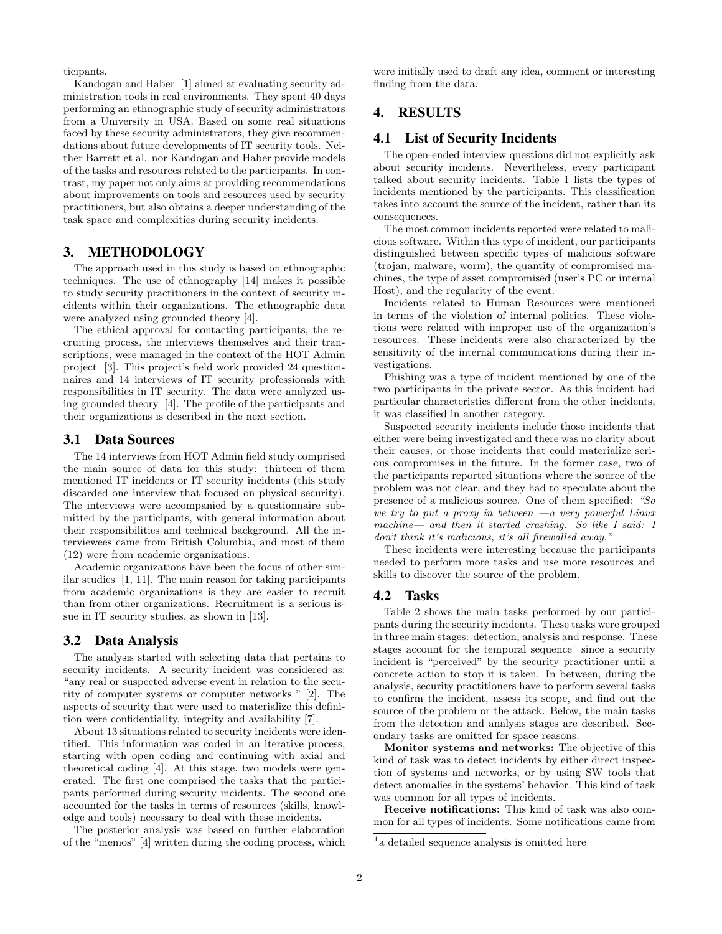ticipants.

Kandogan and Haber [\[1\]](#page-3-2) aimed at evaluating security administration tools in real environments. They spent 40 days performing an ethnographic study of security administrators from a University in USA. Based on some real situations faced by these security administrators, they give recommendations about future developments of IT security tools. Neither Barrett et al. nor Kandogan and Haber provide models of the tasks and resources related to the participants. In contrast, my paper not only aims at providing recommendations about improvements on tools and resources used by security practitioners, but also obtains a deeper understanding of the task space and complexities during security incidents.

### <span id="page-1-0"></span>3. METHODOLOGY

The approach used in this study is based on ethnographic techniques. The use of ethnography [\[14\]](#page-3-3) makes it possible to study security practitioners in the context of security incidents within their organizations. The ethnographic data were analyzed using grounded theory [\[4\]](#page-3-7).

The ethical approval for contacting participants, the recruiting process, the interviews themselves and their transcriptions, were managed in the context of the HOT Admin project [\[3\]](#page-3-8). This project's field work provided 24 questionnaires and 14 interviews of IT security professionals with responsibilities in IT security. The data were analyzed using grounded theory [\[4\]](#page-3-7). The profile of the participants and their organizations is described in the next section.

#### 3.1 Data Sources

The 14 interviews from HOT Admin field study comprised the main source of data for this study: thirteen of them mentioned IT incidents or IT security incidents (this study discarded one interview that focused on physical security). The interviews were accompanied by a questionnaire submitted by the participants, with general information about their responsibilities and technical background. All the interviewees came from British Columbia, and most of them (12) were from academic organizations.

Academic organizations have been the focus of other similar studies [\[1,](#page-3-2) [11\]](#page-3-9). The main reason for taking participants from academic organizations is they are easier to recruit than from other organizations. Recruitment is a serious issue in IT security studies, as shown in [\[13\]](#page-3-10).

#### 3.2 Data Analysis

The analysis started with selecting data that pertains to security incidents. A security incident was considered as: "any real or suspected adverse event in relation to the security of computer systems or computer networks " [\[2\]](#page-3-11). The aspects of security that were used to materialize this definition were confidentiality, integrity and availability [\[7\]](#page-3-12).

About 13 situations related to security incidents were identified. This information was coded in an iterative process, starting with open coding and continuing with axial and theoretical coding [\[4\]](#page-3-7). At this stage, two models were generated. The first one comprised the tasks that the participants performed during security incidents. The second one accounted for the tasks in terms of resources (skills, knowledge and tools) necessary to deal with these incidents.

The posterior analysis was based on further elaboration of the "memos" [\[4\]](#page-3-7) written during the coding process, which

were initially used to draft any idea, comment or interesting finding from the data.

# <span id="page-1-1"></span>4. RESULTS

### 4.1 List of Security Incidents

The open-ended interview questions did not explicitly ask about security incidents. Nevertheless, every participant talked about security incidents. Table [1](#page-2-0) lists the types of incidents mentioned by the participants. This classification takes into account the source of the incident, rather than its consequences.

The most common incidents reported were related to malicious software. Within this type of incident, our participants distinguished between specific types of malicious software (trojan, malware, worm), the quantity of compromised machines, the type of asset compromised (user's PC or internal Host), and the regularity of the event.

Incidents related to Human Resources were mentioned in terms of the violation of internal policies. These violations were related with improper use of the organization's resources. These incidents were also characterized by the sensitivity of the internal communications during their investigations.

Phishing was a type of incident mentioned by one of the two participants in the private sector. As this incident had particular characteristics different from the other incidents, it was classified in another category.

Suspected security incidents include those incidents that either were being investigated and there was no clarity about their causes, or those incidents that could materialize serious compromises in the future. In the former case, two of the participants reported situations where the source of the problem was not clear, and they had to speculate about the presence of a malicious source. One of them specified: "So we try to put a proxy in between  $-a$  very powerful Linux machine— and then it started crashing. So like I said: I don't think it's malicious, it's all firewalled away."

These incidents were interesting because the participants needed to perform more tasks and use more resources and skills to discover the source of the problem.

#### 4.2 Tasks

Table [2](#page-2-1) shows the main tasks performed by our participants during the security incidents. These tasks were grouped in three main stages: detection, analysis and response. These stages account for the temporal sequence<sup>[1](#page-1-2)</sup> since a security incident is "perceived" by the security practitioner until a concrete action to stop it is taken. In between, during the analysis, security practitioners have to perform several tasks to confirm the incident, assess its scope, and find out the source of the problem or the attack. Below, the main tasks from the detection and analysis stages are described. Secondary tasks are omitted for space reasons.

Monitor systems and networks: The objective of this kind of task was to detect incidents by either direct inspection of systems and networks, or by using SW tools that detect anomalies in the systems' behavior. This kind of task was common for all types of incidents.

Receive notifications: This kind of task was also common for all types of incidents. Some notifications came from

<span id="page-1-2"></span><sup>&</sup>lt;sup>1</sup> a detailed sequence analysis is omitted here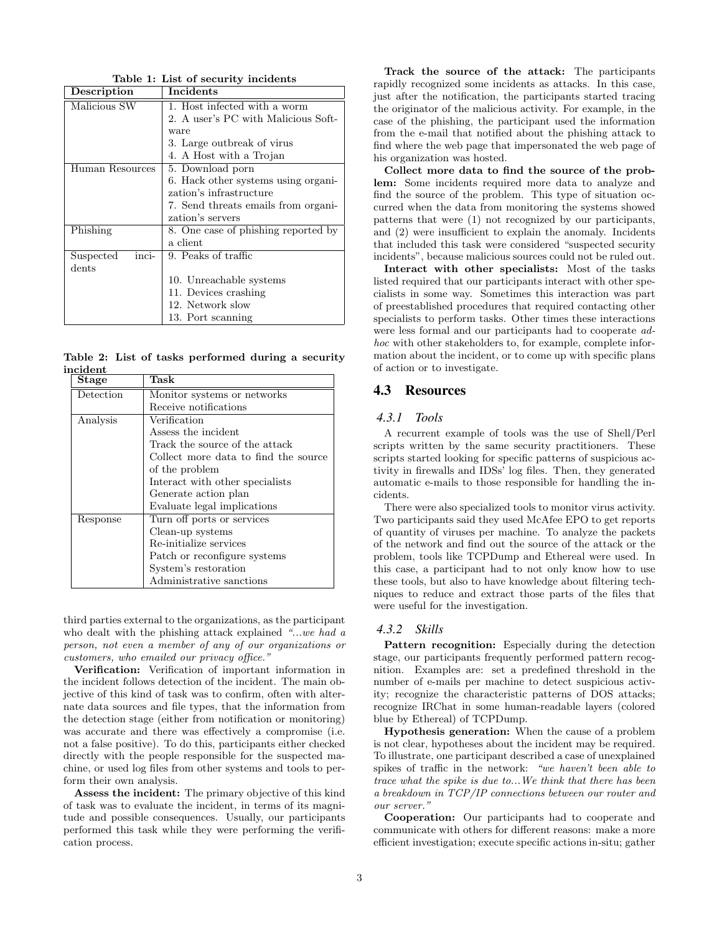| Description        | Incidents                           |
|--------------------|-------------------------------------|
| Malicious SW       | 1. Host infected with a worm        |
|                    | 2. A user's PC with Malicious Soft- |
|                    | ware                                |
|                    | 3. Large outbreak of virus          |
|                    | 4. A Host with a Trojan             |
| Human Resources    | 5. Download porn                    |
|                    | 6. Hack other systems using organi- |
|                    | zation's infrastructure             |
|                    | 7. Send threats emails from organi- |
|                    | zation's servers                    |
| Phishing           | 8. One case of phishing reported by |
|                    | a client                            |
| inci-<br>Suspected | 9. Peaks of traffic                 |
| dents              |                                     |
|                    | 10. Unreachable systems             |
|                    | 11. Devices crashing                |
|                    | 12. Network slow                    |
|                    | 13. Port scanning                   |

<span id="page-2-0"></span>Table 1: List of security incidents

<span id="page-2-1"></span>Table 2: List of tasks performed during a security incident

| Stage     | Task                                 |
|-----------|--------------------------------------|
| Detection | Monitor systems or networks          |
|           | Receive notifications                |
| Analysis  | Verification                         |
|           | Assess the incident                  |
|           | Track the source of the attack       |
|           | Collect more data to find the source |
|           | of the problem                       |
|           | Interact with other specialists      |
|           | Generate action plan                 |
|           | Evaluate legal implications          |
| Response  | Turn off ports or services           |
|           | Clean-up systems                     |
|           | Re-initialize services               |
|           | Patch or reconfigure systems         |
|           | System's restoration                 |
|           | Administrative sanctions             |

third parties external to the organizations, as the participant who dealt with the phishing attack explained "...we had a person, not even a member of any of our organizations or customers, who emailed our privacy office."

Verification: Verification of important information in the incident follows detection of the incident. The main objective of this kind of task was to confirm, often with alternate data sources and file types, that the information from the detection stage (either from notification or monitoring) was accurate and there was effectively a compromise (i.e. not a false positive). To do this, participants either checked directly with the people responsible for the suspected machine, or used log files from other systems and tools to perform their own analysis.

Assess the incident: The primary objective of this kind of task was to evaluate the incident, in terms of its magnitude and possible consequences. Usually, our participants performed this task while they were performing the verification process.

Track the source of the attack: The participants rapidly recognized some incidents as attacks. In this case, just after the notification, the participants started tracing the originator of the malicious activity. For example, in the case of the phishing, the participant used the information from the e-mail that notified about the phishing attack to find where the web page that impersonated the web page of his organization was hosted.

Collect more data to find the source of the problem: Some incidents required more data to analyze and find the source of the problem. This type of situation occurred when the data from monitoring the systems showed patterns that were (1) not recognized by our participants, and (2) were insufficient to explain the anomaly. Incidents that included this task were considered "suspected security incidents", because malicious sources could not be ruled out.

Interact with other specialists: Most of the tasks listed required that our participants interact with other specialists in some way. Sometimes this interaction was part of preestablished procedures that required contacting other specialists to perform tasks. Other times these interactions were less formal and our participants had to cooperate adhoc with other stakeholders to, for example, complete information about the incident, or to come up with specific plans of action or to investigate.

#### 4.3 Resources

#### *4.3.1 Tools*

A recurrent example of tools was the use of Shell/Perl scripts written by the same security practitioners. These scripts started looking for specific patterns of suspicious activity in firewalls and IDSs' log files. Then, they generated automatic e-mails to those responsible for handling the incidents.

There were also specialized tools to monitor virus activity. Two participants said they used McAfee EPO to get reports of quantity of viruses per machine. To analyze the packets of the network and find out the source of the attack or the problem, tools like TCPDump and Ethereal were used. In this case, a participant had to not only know how to use these tools, but also to have knowledge about filtering techniques to reduce and extract those parts of the files that were useful for the investigation.

#### *4.3.2 Skills*

Pattern recognition: Especially during the detection stage, our participants frequently performed pattern recognition. Examples are: set a predefined threshold in the number of e-mails per machine to detect suspicious activity; recognize the characteristic patterns of DOS attacks; recognize IRChat in some human-readable layers (colored blue by Ethereal) of TCPDump.

Hypothesis generation: When the cause of a problem is not clear, hypotheses about the incident may be required. To illustrate, one participant described a case of unexplained spikes of traffic in the network: "we haven't been able to trace what the spike is due to...We think that there has been a breakdown in TCP/IP connections between our router and our server."

Cooperation: Our participants had to cooperate and communicate with others for different reasons: make a more efficient investigation; execute specific actions in-situ; gather